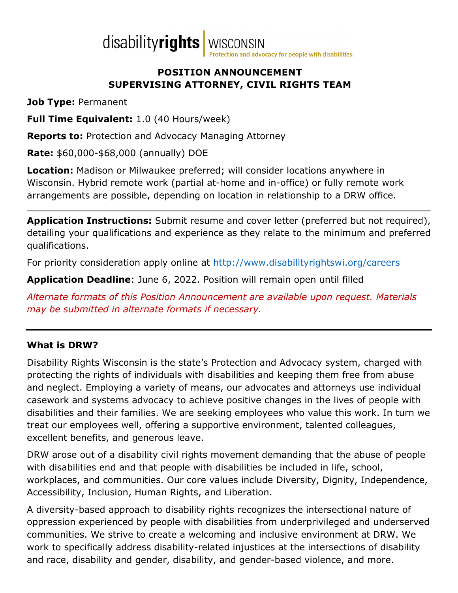

#### **POSITION ANNOUNCEMENT SUPERVISING ATTORNEY, CIVIL RIGHTS TEAM**

**Job Type:** Permanent

**Full Time Equivalent:** 1.0 (40 Hours/week)

**Reports to:** Protection and Advocacy Managing Attorney

**Rate:** \$60,000-\$68,000 (annually) DOE

**Location:** Madison or Milwaukee preferred; will consider locations anywhere in Wisconsin. Hybrid remote work (partial at-home and in-office) or fully remote work arrangements are possible, depending on location in relationship to a DRW office.

**Application Instructions:** Submit resume and cover letter (preferred but not required), detailing your qualifications and experience as they relate to the minimum and preferred qualifications.

For priority consideration apply online at<http://www.disabilityrightswi.org/careers>

**Application Deadline**: June 6, 2022. Position will remain open until filled

*Alternate formats of this Position Announcement are available upon request. Materials may be submitted in alternate formats if necessary.*

# **What is DRW?**

Disability Rights Wisconsin is the state's Protection and Advocacy system, charged with protecting the rights of individuals with disabilities and keeping them free from abuse and neglect. Employing a variety of means, our advocates and attorneys use individual casework and systems advocacy to achieve positive changes in the lives of people with disabilities and their families. We are seeking employees who value this work. In turn we treat our employees well, offering a supportive environment, talented colleagues, excellent benefits, and generous leave.

DRW arose out of a disability civil rights movement demanding that the abuse of people with disabilities end and that people with disabilities be included in life, school, workplaces, and communities. Our core values include Diversity, Dignity, Independence, Accessibility, Inclusion, Human Rights, and Liberation.

A diversity-based approach to disability rights recognizes the intersectional nature of oppression experienced by people with disabilities from underprivileged and underserved communities. We strive to create a welcoming and inclusive environment at DRW. We work to specifically address disability-related injustices at the intersections of disability and race, disability and gender, disability, and gender-based violence, and more.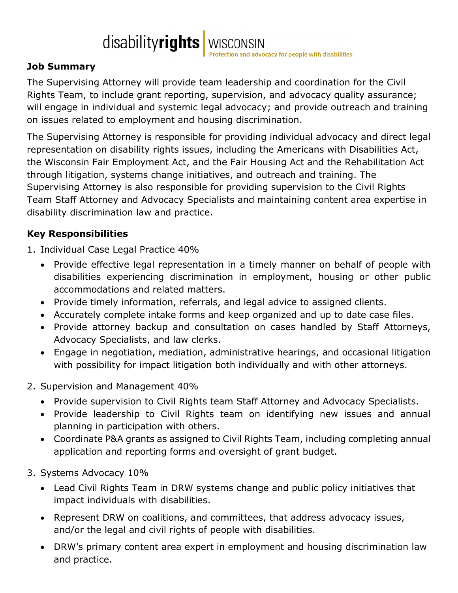disabilityrights WISCONSIN

# **Job Summary**

The Supervising Attorney will provide team leadership and coordination for the Civil Rights Team, to include grant reporting, supervision, and advocacy quality assurance; will engage in individual and systemic legal advocacy; and provide outreach and training on issues related to employment and housing discrimination.

The Supervising Attorney is responsible for providing individual advocacy and direct legal representation on disability rights issues, including the Americans with Disabilities Act, the Wisconsin Fair Employment Act, and the Fair Housing Act and the Rehabilitation Act through litigation, systems change initiatives, and outreach and training. The Supervising Attorney is also responsible for providing supervision to the Civil Rights Team Staff Attorney and Advocacy Specialists and maintaining content area expertise in disability discrimination law and practice.

### **Key Responsibilities**

- 1. Individual Case Legal Practice 40%
	- Provide effective legal representation in a timely manner on behalf of people with disabilities experiencing discrimination in employment, housing or other public accommodations and related matters.
	- Provide timely information, referrals, and legal advice to assigned clients.
	- Accurately complete intake forms and keep organized and up to date case files.
	- Provide attorney backup and consultation on cases handled by Staff Attorneys, Advocacy Specialists, and law clerks.
	- Engage in negotiation, mediation, administrative hearings, and occasional litigation with possibility for impact litigation both individually and with other attorneys.
- 2. Supervision and Management 40%
	- Provide supervision to Civil Rights team Staff Attorney and Advocacy Specialists.
	- Provide leadership to Civil Rights team on identifying new issues and annual planning in participation with others.
	- Coordinate P&A grants as assigned to Civil Rights Team, including completing annual application and reporting forms and oversight of grant budget.
- 3. Systems Advocacy 10%
	- Lead Civil Rights Team in DRW systems change and public policy initiatives that impact individuals with disabilities.
	- Represent DRW on coalitions, and committees, that address advocacy issues, and/or the legal and civil rights of people with disabilities.
	- DRW's primary content area expert in employment and housing discrimination law and practice.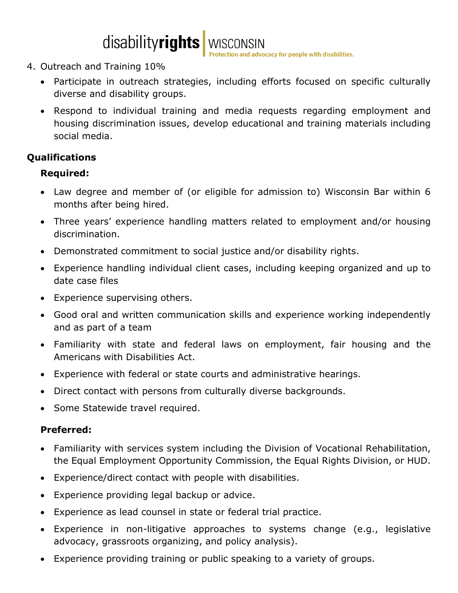

#### 4. Outreach and Training 10%

- Participate in outreach strategies, including efforts focused on specific culturally diverse and disability groups.
- Respond to individual training and media requests regarding employment and housing discrimination issues, develop educational and training materials including social media.

# **Qualifications**

### **Required:**

- Law degree and member of (or eligible for admission to) Wisconsin Bar within 6 months after being hired.
- Three years' experience handling matters related to employment and/or housing discrimination.
- Demonstrated commitment to social justice and/or disability rights.
- Experience handling individual client cases, including keeping organized and up to date case files
- Experience supervising others.
- Good oral and written communication skills and experience working independently and as part of a team
- Familiarity with state and federal laws on employment, fair housing and the Americans with Disabilities Act.
- Experience with federal or state courts and administrative hearings.
- Direct contact with persons from culturally diverse backgrounds.
- Some Statewide travel required.

#### **Preferred:**

- Familiarity with services system including the Division of Vocational Rehabilitation, the Equal Employment Opportunity Commission, the Equal Rights Division, or HUD.
- Experience/direct contact with people with disabilities.
- Experience providing legal backup or advice.
- Experience as lead counsel in state or federal trial practice.
- Experience in non-litigative approaches to systems change (e.g., legislative advocacy, grassroots organizing, and policy analysis).
- Experience providing training or public speaking to a variety of groups.